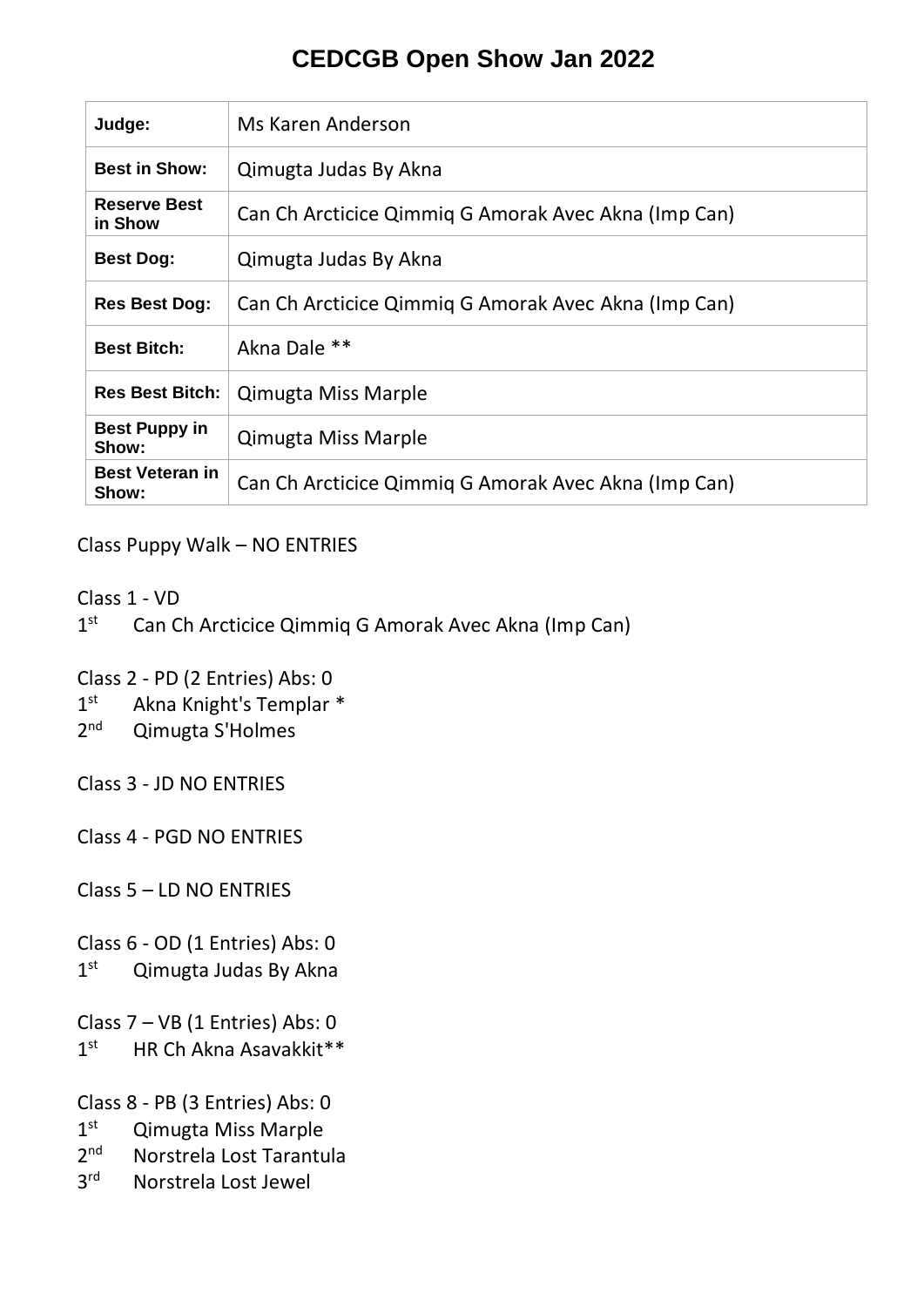## **CEDCGB Open Show Jan 2022**

| Judge:                          | Ms Karen Anderson                                    |
|---------------------------------|------------------------------------------------------|
| <b>Best in Show:</b>            | Qimugta Judas By Akna                                |
| <b>Reserve Best</b><br>in Show  | Can Ch Arcticice Qimmiq G Amorak Avec Akna (Imp Can) |
| <b>Best Dog:</b>                | Qimugta Judas By Akna                                |
| <b>Res Best Dog:</b>            | Can Ch Arcticice Qimmiq G Amorak Avec Akna (Imp Can) |
| <b>Best Bitch:</b>              | Akna Dale **                                         |
| <b>Res Best Bitch:</b>          | <b>Qimugta Miss Marple</b>                           |
| <b>Best Puppy in</b><br>Show:   | <b>Qimugta Miss Marple</b>                           |
| <b>Best Veteran in</b><br>Show: | Can Ch Arcticice Qimmig G Amorak Avec Akna (Imp Can) |

Class Puppy Walk – NO ENTRIES

Class 1 - VD

 $1<sup>st</sup>$ Can Ch Arcticice Qimmiq G Amorak Avec Akna (Imp Can)

Class 2 - PD (2 Entries) Abs: 0

- $1^{\rm st}$ Akna Knight's Templar \*
- $2<sub>nd</sub>$ Qimugta S'Holmes

Class 3 - JD NO ENTRIES

Class 4 - PGD NO ENTRIES

Class 5 – LD NO ENTRIES

Class 6 - OD (1 Entries) Abs: 0

 $1<sup>st</sup>$ Qimugta Judas By Akna

Class 7 – VB (1 Entries) Abs: 0

 $1<sup>st</sup>$ HR Ch Akna Asavakkit\*\*

Class 8 - PB (3 Entries) Abs: 0

- $1^{\text{st}}$ **Qimugta Miss Marple**
- $2<sub>nd</sub>$ Norstrela Lost Tarantula
- $3<sup>rd</sup>$ Norstrela Lost Jewel